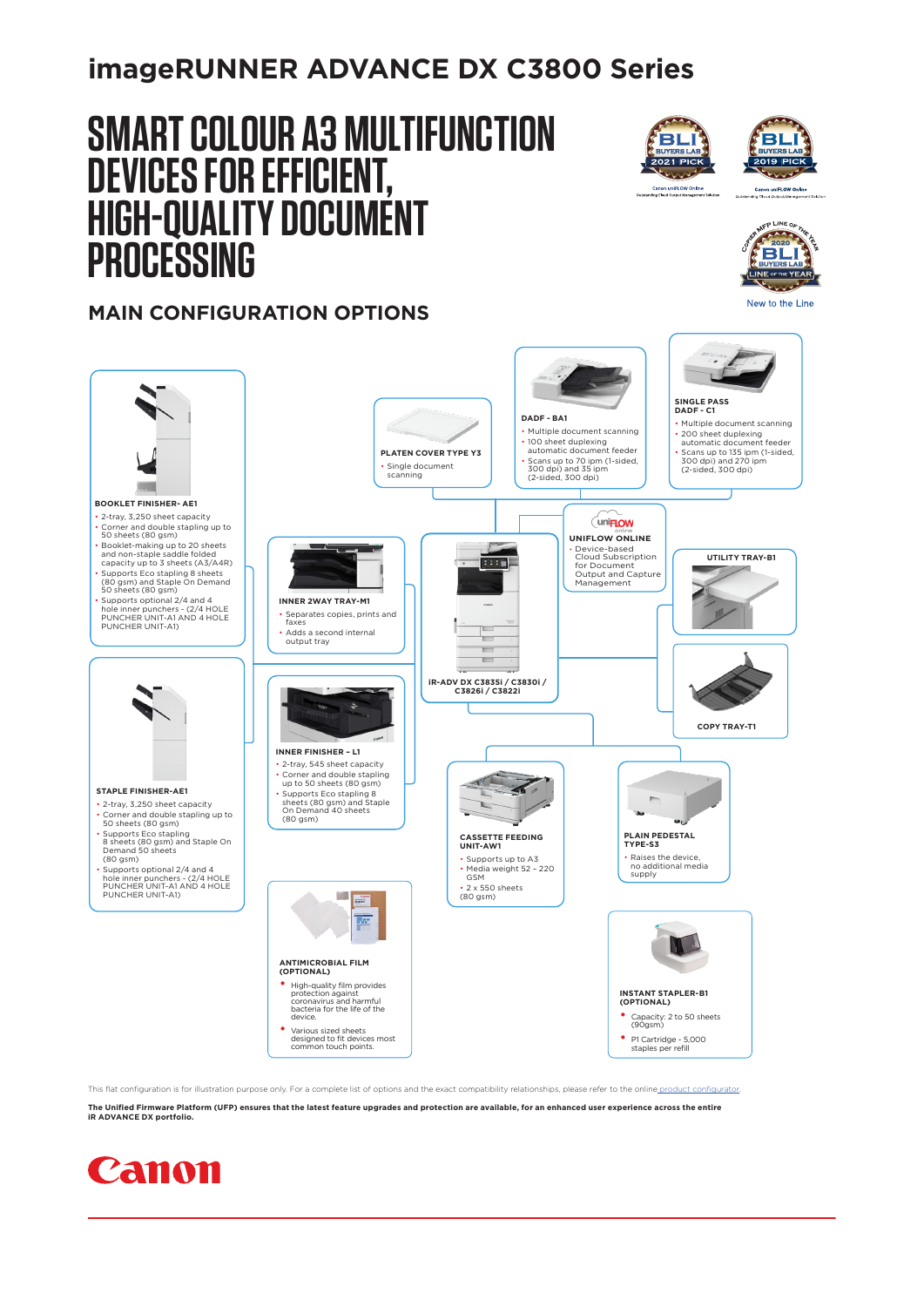## **imageRUNNER ADVANCE DX C3800 Series**

# **SMART COLOUR A3 MULTIFUNCTION DEVICES FOR EFFICIENT, HIGH-QUALITY DOCUMENT PROCESSING**





 $P$  LINE  $Q$ PRINCE OF THE **BLI** 

New to the Line

### **MAIN CONFIGURATION OPTIONS**



**The Unified Firmware Platform (UFP) ensures that the latest feature upgrades and protection are available, for an enhanced user experience across the entire iR ADVANCE DX portfolio.**

This flat configuration is for illustration purpose only. For a complete list of options and the exact compatibility relationships, please refer to the online p

## **Canon**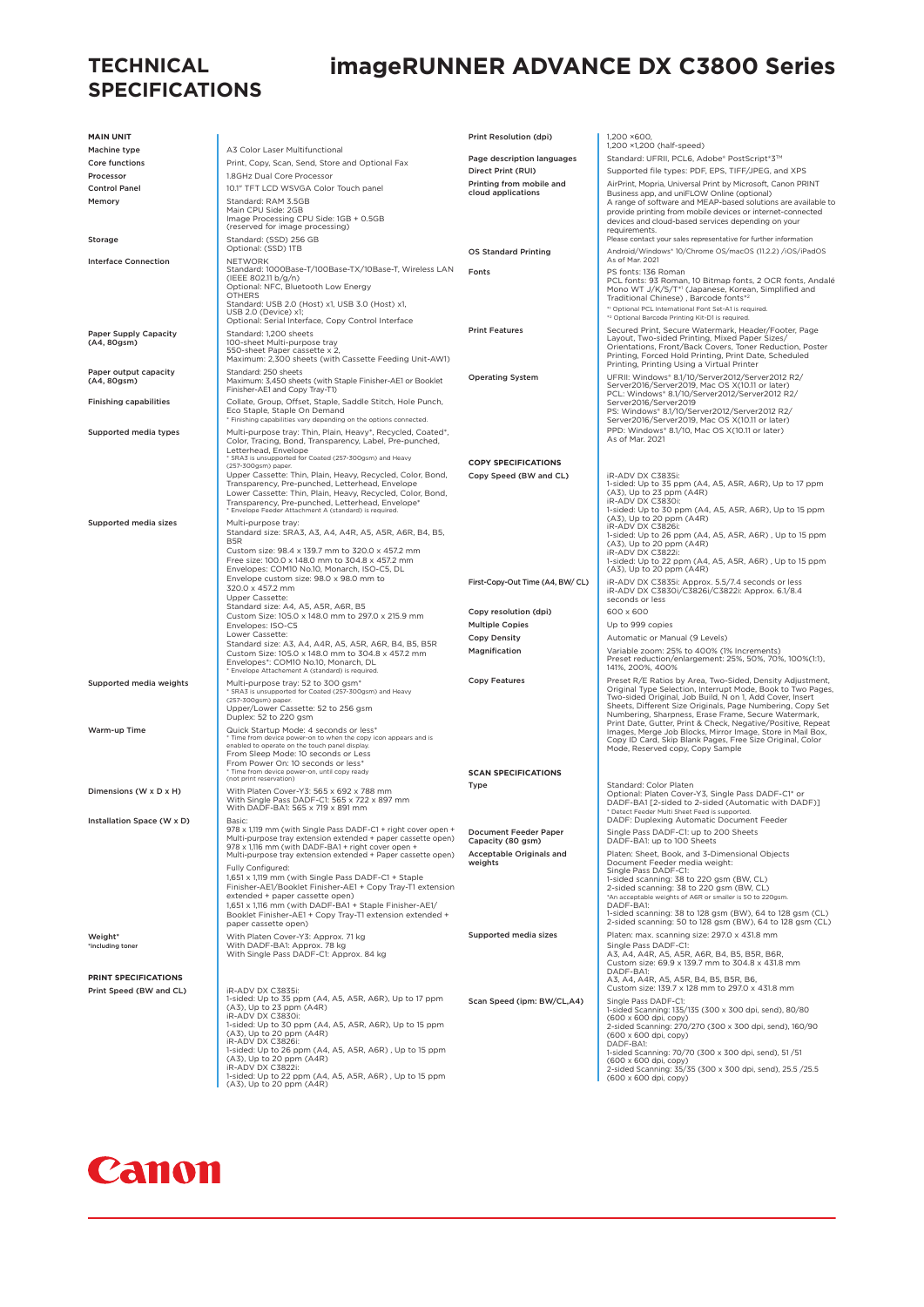#### **TECHNICAL SPECIFICATIONS**

## **imageRUNNER ADVANCE DX C3800 Series**

| <b>MAIN UNIT</b>                                     |                                                                                                                                                                                                        | Print Resolution (dpi)                         | 1.200 ×600.                                                                                                                                                                                                                                   |
|------------------------------------------------------|--------------------------------------------------------------------------------------------------------------------------------------------------------------------------------------------------------|------------------------------------------------|-----------------------------------------------------------------------------------------------------------------------------------------------------------------------------------------------------------------------------------------------|
| Machine type                                         | A3 Color Laser Multifunctional                                                                                                                                                                         |                                                | 1,200 ×1,200 (half-speed)                                                                                                                                                                                                                     |
| Core functions                                       | Print, Copy, Scan, Send, Store and Optional Fax                                                                                                                                                        | Page description languages                     | Standard: UFRII, PCL6, Adobe® PostScript®3™                                                                                                                                                                                                   |
| Processor                                            | 1.8GHz Dual Core Processor                                                                                                                                                                             | Direct Print (RUI)                             | Supported file types: PDF, EPS, TIFF/JPEG, and XPS                                                                                                                                                                                            |
| <b>Control Panel</b>                                 | 10.1" TFT LCD WSVGA Color Touch panel                                                                                                                                                                  | Printing from mobile and<br>cloud applications | AirPrint, Mopria, Universal Print by Microsoft, Canon PRINT<br>Business app, and uniFLOW Online (optional)                                                                                                                                    |
| Memory                                               | Standard: RAM 3.5GB<br>Main CPU Side: 2GB<br>Image Processing CPU Side: 1GB + 0.5GB<br>(reserved for image processing)                                                                                 |                                                | A range of software and MEAP-based solutions are available to<br>provide printing from mobile devices or internet-connected<br>devices and cloud-based services depending on your<br>requirements.                                            |
| Storage                                              | Standard: (SSD) 256 GB<br>Optional: (SSD) 1TB                                                                                                                                                          |                                                | Please contact your sales representative for further information                                                                                                                                                                              |
| <b>Interface Connection</b>                          | <b>NETWORK</b><br>Standard: 1000Base-T/100Base-TX/10Base-T, Wireless LAN                                                                                                                               | <b>OS Standard Printing</b><br>Fonts           | Android/Windows®10/Chrome OS/macOS (11.2.2) /iOS/iPadOS<br>As of Mar. 2021<br>PS fonts: 136 Roman                                                                                                                                             |
|                                                      | (IEEE 802.11 b/g/n)<br>Optional: NFC, Bluetooth Low Energy<br><b>OTHERS</b><br>Standard: USB 2.0 (Host) x1, USB 3.0 (Host) x1,<br>USB 2.0 (Device) x1;                                                 |                                                | PCL fonts: 93 Roman, 10 Bitmap fonts, 2 OCR fonts, Andalé<br>Mono WT J/K/S/T*1 (Japanese, Korean, Simplified and<br>Traditional Chinese), Barcode fonts*2<br>*1 Optional PCL International Font Set-A1 is required.                           |
|                                                      | Optional: Serial Interface, Copy Control Interface                                                                                                                                                     | <b>Print Features</b>                          | *2 Optional Barcode Printing Kit-D1 is required.<br>Secured Print, Secure Watermark, Header/Footer, Page                                                                                                                                      |
| <b>Paper Supply Capacity</b><br>(A4, 80gsm)          | Standard: 1,200 sheets<br>100-sheet Multi-purpose tray<br>550-sheet Paper cassette x 2,<br>Maximum: 2,300 sheets (with Cassette Feeding Unit-AW1)                                                      |                                                | Layout, Two-sided Printing, Mixed Paper Sizes/<br>Orientations, Front/Back Covers, Toner Reduction, Poster<br>Printing, Forced Hold Printing, Print Date, Scheduled<br>Printing, Printing Using a Virtual Printer                             |
| Paper output capacity<br>(A4, 80gsm)                 | Standard: 250 sheets<br>Maximum: 3,450 sheets (with Staple Finisher-AE1 or Booklet<br>Finisher-AE1 and Copy Tray-T1)                                                                                   | <b>Operating System</b>                        | UFRII: Windows* 8.1/10/Server2012/Server2012 R2/<br>Server2016/Server2019, Mac OS X(10.11 or later)<br>PCL: Windows® 8.1/10/Server2012/Server2012 R2/                                                                                         |
| <b>Finishing capabilities</b>                        | Collate, Group, Offset, Staple, Saddle Stitch, Hole Punch,<br>Eco Staple, Staple On Demand<br>* Finishing capabilities vary depending on the options connected.                                        |                                                | Server2016/Server2019<br>PS: Windows® 8.1/10/Server2012/Server2012 R2/<br>Server2016/Server2019, Mac OS X(10.11 or later)                                                                                                                     |
| Supported media types                                | Multi-purpose tray: Thin, Plain, Heavy*, Recycled, Coated*,<br>Color, Tracing, Bond, Transparency, Label, Pre-punched,<br>Letterhead, Envelope                                                         |                                                | PPD: Windows* 8.1/10, Mac OS X(10.11 or later)<br>As of Mar. 2021                                                                                                                                                                             |
|                                                      | * SRA3 is unsupported for Coated (257-300gsm) and Heavy<br>(257-300gsm) paper.                                                                                                                         | <b>COPY SPECIFICATIONS</b>                     |                                                                                                                                                                                                                                               |
|                                                      | Upper Cassette: Thin, Plain, Heavy, Recycled, Color, Bond,<br>Transparency, Pre-punched, Letterhead, Envelope                                                                                          | Copy Speed (BW and CL)                         | iR-ADV DX C3835i:<br>1-sided: Up to 35 ppm (A4, A5, A5R, A6R), Up to 17 ppm                                                                                                                                                                   |
|                                                      | Lower Cassette: Thin, Plain, Heavy, Recycled, Color, Bond,<br>Transparency, Pre-punched, Letterhead, Envelope*<br>* Envelope Feeder Attachment A (standard) is required.                               |                                                | (A3), Up to 23 ppm (A4R)<br>iR-ADV DX C3830i:<br>1-sided: Up to 30 ppm (A4, A5, A5R, A6R), Up to 15 ppm                                                                                                                                       |
| Supported media sizes                                | Multi-purpose tray:<br>Standard size: SRA3, A3, A4, A4R, A5, A5R, A6R, B4, B5,<br>B <sub>5R</sub>                                                                                                      |                                                | (A3), Up to 20 ppm (A4R)<br>iR-ADV DX C3826i:<br>1-sided: Up to 26 ppm (A4, A5, A5R, A6R), Up to 15 ppm<br>(A3), Up to 20 ppm (A4R)                                                                                                           |
|                                                      | Custom size: 98.4 x 139.7 mm to 320.0 x 457.2 mm<br>Free size: 100.0 x 148.0 mm to 304.8 x 457.2 mm<br>Envelopes: COM10 No.10, Monarch, ISO-C5, DL                                                     |                                                | iR-ADV DX C3822i:<br>1-sided: Up to 22 ppm (A4, A5, A5R, A6R), Up to 15 ppm<br>(A3), Up to 20 ppm (A4R)                                                                                                                                       |
|                                                      | Envelope custom size: 98.0 x 98.0 mm to<br>320.0 x 457.2 mm<br>Upper Cassette:                                                                                                                         | First-Copy-Out Time (A4, BW/ CL)               | iR-ADV DX C3835i: Approx. 5.5/7.4 seconds or less<br>iR-ADV DX C3830i/C3826i/C3822i: Approx. 6.1/8.4<br>seconds or less                                                                                                                       |
|                                                      | Standard size: A4, A5, A5R, A6R, B5<br>Custom Size: 105.0 x 148.0 mm to 297.0 x 215.9 mm                                                                                                               | Copy resolution (dpi)                          | 600 x 600                                                                                                                                                                                                                                     |
|                                                      | Envelopes: ISO-C5<br>Lower Cassette:                                                                                                                                                                   | <b>Multiple Copies</b>                         | Up to 999 copies                                                                                                                                                                                                                              |
|                                                      | Standard size: A3, A4, A4R, A5, A5R, A6R, B4, B5, B5R<br>Custom Size: 105.0 x 148.0 mm to 304.8 x 457.2 mm<br>Envelopes*: COM10 No.10, Monarch, DL<br>* Envelope Attachement A (standard) is required. | <b>Copy Density</b><br>Magnification           | Automatic or Manual (9 Levels)<br>Variable zoom: 25% to 400% (1% Increments)<br>Preset reduction/enlargement: 25%, 50%, 70%, 100%(1:1),<br>141%, 200%, 400%                                                                                   |
| Supported media weights                              | Multi-purpose tray: 52 to 300 gsm*                                                                                                                                                                     | <b>Copy Features</b>                           | Preset R/E Ratios by Area, Two-Sided, Density Adjustment,                                                                                                                                                                                     |
|                                                      | * SRA3 is unsupported for Coated (257-300gsm) and Heavy<br>(257-300gsm) paper.<br>Upper/Lower Cassette: 52 to 256 gsm<br>Duplex: 52 to 220 gsm                                                         |                                                | Original Type Selection, Interrupt Mode, Book to Two Pages,<br>Two-sided Original, Job Build, N on 1, Add Cover, Insert<br>Sheets, Different Size Originals, Page Numbering, Copy Set<br>Numbering, Sharpness, Erase Frame, Secure Watermark, |
| Warm-up Time                                         | Quick Startup Mode: 4 seconds or less*<br>* Time from device power-on to when the copy icon appears and is<br>enabled to operate on the touch panel display.<br>From Sleep Mode: 10 seconds or Less    |                                                | Print Date, Gutter, Print & Check, Negative/Positive, Repeat<br>Images, Merge Job Blocks, Mirror Image, Store in Mail Box.<br>Copy ID Card, Skip Blank Pages, Free Size Original, Color<br>Mode, Reserved copy, Copy Sample                   |
|                                                      | From Power On: 10 seconds or less*<br>* Time from device power-on, until copy ready                                                                                                                    | <b>SCAN SPECIFICATIONS</b>                     |                                                                                                                                                                                                                                               |
|                                                      | (not print reservation)<br>With Platen Cover-Y3: 565 x 692 x 788 mm                                                                                                                                    | Type                                           | Standard: Color Platen                                                                                                                                                                                                                        |
| Dimensions (W x D x H)<br>Installation Space (W x D) | With Single Pass DADF-C1: 565 x 722 x 897 mm<br>With DADF-BA1: 565 x 719 x 891 mm<br>Basic:                                                                                                            |                                                | Optional: Platen Cover-Y3, Single Pass DADF-C1* or<br>DADF-BA1 [2-sided to 2-sided (Automatic with DADF)]<br>* Detect Feeder Multi Sheet Feed is supported.<br>DADF: Duplexing Automatic Document Feeder                                      |
|                                                      | 978 x 1,119 mm (with Single Pass DADF-C1 + right cover open +<br>Multi-purpose tray extension extended + paper cassette open)                                                                          | Document Feeder Paper<br>Capacity (80 gsm)     | Single Pass DADF-C1: up to 200 Sheets<br>DADF-BA1: up to 100 Sheets                                                                                                                                                                           |
|                                                      | 978 x 1,116 mm (with DADF-BA1 + right cover open +<br>Multi-purpose tray extension extended + Paper cassette open)                                                                                     | Acceptable Originals and                       | Platen: Sheet, Book, and 3-Dimensional Objects<br>Document Feeder media weight:                                                                                                                                                               |
|                                                      | Fully Configured:<br>1,651 x 1,119 mm (with Single Pass DADF-C1 + Staple                                                                                                                               | weights                                        | Single Pass DADF-C1:                                                                                                                                                                                                                          |
|                                                      | Finisher-AE1/Booklet Finisher-AE1 + Copy Tray-T1 extension                                                                                                                                             |                                                | 1-sided scanning: 38 to 220 gsm (BW, CL)<br>2-sided scanning: 38 to 220 gsm (BW, CL)                                                                                                                                                          |
|                                                      | extended + paper cassette open)<br>1,651 x 1,116 mm (with DADF-BA1 + Staple Finisher-AE1/                                                                                                              |                                                | *An acceptable weights of A6R or smaller is 50 to 220gsm.<br>DADF-BA1:                                                                                                                                                                        |
|                                                      | Booklet Finisher-AE1 + Copy Tray-T1 extension extended +                                                                                                                                               |                                                | 1-sided scanning: 38 to 128 gsm (BW), 64 to 128 gsm (CL)<br>2-sided scanning: 50 to 128 gsm (BW), 64 to 128 gsm (CL)                                                                                                                          |
| Weight*                                              | paper cassette open)<br>With Platen Cover-Y3: Approx. 71 kg                                                                                                                                            | Supported media sizes                          | Platen: max. scanning size: 297.0 x 431.8 mm                                                                                                                                                                                                  |
| *including toner                                     | With DADF-BA1: Approx. 78 kg<br>With Single Pass DADF-C1: Approx. 84 kg                                                                                                                                |                                                | Single Pass DADF-C1:<br>A3, A4, A4R, A5, A5R, A6R, B4, B5, B5R, B6R,<br>Custom size: 69.9 x 139.7 mm to 304.8 x 431.8 mm<br>DADF-BA1:                                                                                                         |
| PRINT SPECIFICATIONS                                 |                                                                                                                                                                                                        |                                                | A3, A4, A4R, A5, A5R, B4, B5, B5R, B6,<br>Custom size: 139.7 x 128 mm to 297.0 x 431.8 mm                                                                                                                                                     |
| Print Speed (BW and CL)                              | iR-ADV DX C3835i:<br>1-sided: Up to 35 ppm (A4, A5, A5R, A6R), Up to 17 ppm                                                                                                                            | Scan Speed (ipm: BW/CL,A4)                     | Single Pass DADF-C1:                                                                                                                                                                                                                          |
|                                                      | (A3), Up to 23 ppm (A4R)<br>iR-ADV DX C3830i:                                                                                                                                                          |                                                | 1-sided Scanning: 135/135 (300 x 300 dpi, send), 80/80<br>(600 x 600 dpi, copy)                                                                                                                                                               |
|                                                      | 1-sided: Up to 30 ppm (A4, A5, A5R, A6R), Up to 15 ppm<br>(A3), Up to 20 ppm (A4R)                                                                                                                     |                                                | 2-sided Scanning: 270/270 (300 x 300 dpi, send), 160/90<br>(600 x 600 dpi, copy)                                                                                                                                                              |
|                                                      | iR-ADV DX C3826i:<br>1-sided: Up to 26 ppm (A4, A5, A5R, A6R), Up to 15 ppm                                                                                                                            |                                                | DADF-BA1:                                                                                                                                                                                                                                     |
|                                                      | (A3), Up to 20 ppm (A4R)<br>iR-ADV DX C3822i:                                                                                                                                                          |                                                | 1-sided Scanning: 70/70 (300 x 300 dpi, send), 51/51<br>(600 x 600 dpi, copy)                                                                                                                                                                 |
|                                                      | 1-sided: Up to 22 ppm (A4, A5, A5R, A6R), Up to 15 ppm<br>(A3), Up to 20 ppm (A4R)                                                                                                                     |                                                | 2-sided Scanning: 35/35 (300 x 300 dpi, send), 25.5 /25.5<br>(600 x 600 dpi, copy)                                                                                                                                                            |

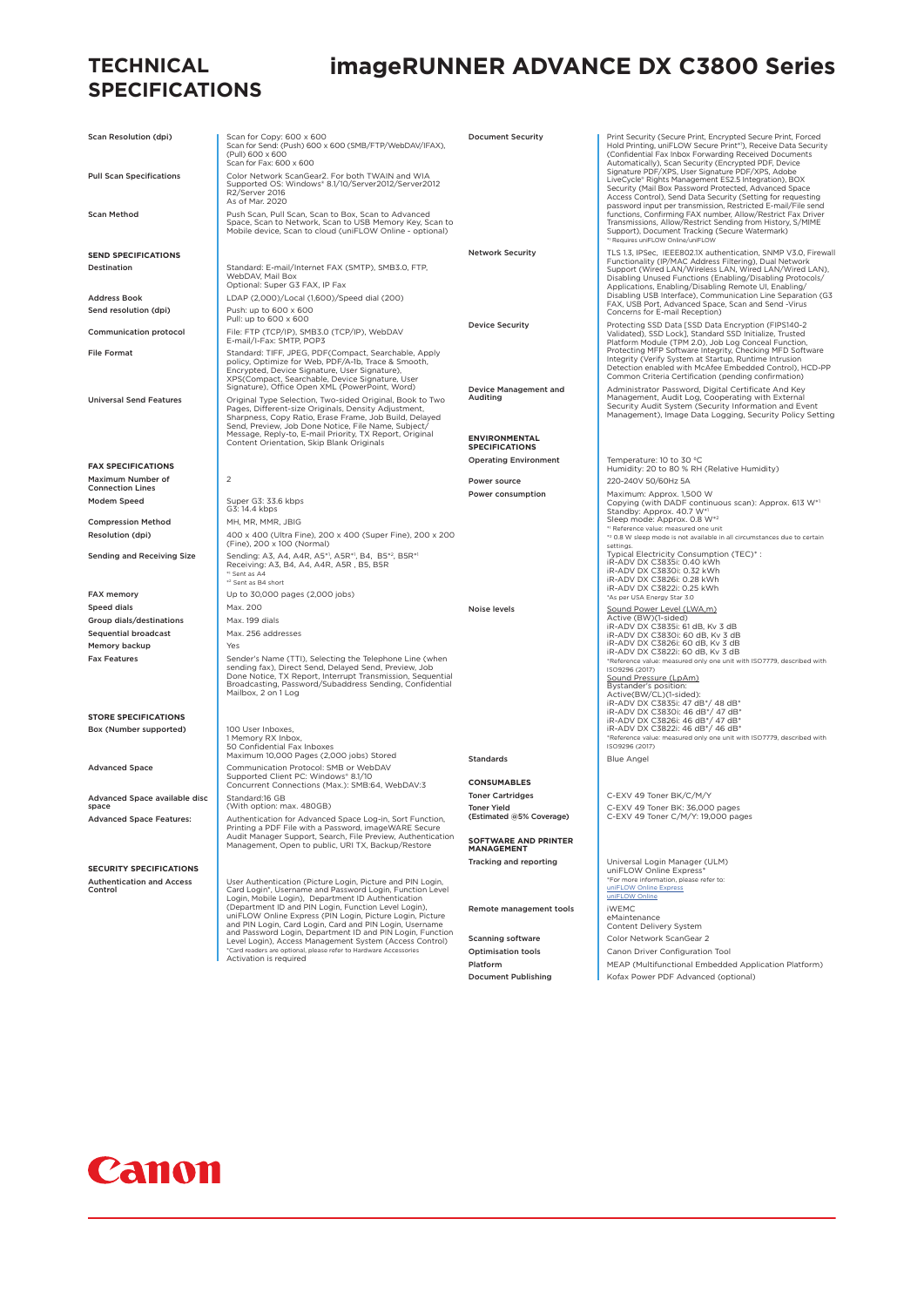#### **TECHNICAL SPECIFICATIONS**

## **imageRUNNER ADVANCE DX C3800 Series**

| <b>Scan Resolution (dpi)</b>                | Scan for Copy: 600 x 600<br>Scan for Send: (Push) 600 x 600 (SMB/FTP/WebDAV/IFAX),<br>(Pull) 600 x 600<br>Scan for Fax: 600 x 600                                                                                                                                 | <b>Document Security</b>                                | Print Security (Secure Print, Encrypted Secure Print, Forced<br>Hold Printing, uniFLOW Secure Print*1), Receive Data Security<br>(Confidential Fax Inbox Forwarding Received Documents<br>Automatically), Scan Security (Encrypted PDF, Device                                                        |
|---------------------------------------------|-------------------------------------------------------------------------------------------------------------------------------------------------------------------------------------------------------------------------------------------------------------------|---------------------------------------------------------|-------------------------------------------------------------------------------------------------------------------------------------------------------------------------------------------------------------------------------------------------------------------------------------------------------|
| <b>Pull Scan Specifications</b>             | Color Network ScanGear2. For both TWAIN and WIA<br>Supported OS: Windows® 8.1/10/Server2012/Server2012<br>R2/Server 2016<br>As of Mar. 2020                                                                                                                       |                                                         | Signature PDF/XPS, User Signature PDF/XPS, Adobe<br>LiveCycle* Rights Management ES2.5 Integration), BOX<br>Security (Mail Box Password Protected, Advanced Space<br>Access Control), Send Data Security (Setting for requesting<br>password input per transmission, Restricted E-mail/File send      |
| <b>Scan Method</b>                          | Push Scan, Pull Scan, Scan to Box, Scan to Advanced<br>Space, Scan to Network, Scan to USB Memory Key, Scan to<br>Mobile device, Scan to cloud (uniFLOW Online - optional)                                                                                        |                                                         | functions, Confirming FAX number, Allow/Restrict Fax Driver<br>Transmissions, Allow/Restrict Sending from History, S/MIME<br>Support), Document Tracking (Secure Watermark)<br>*1 Requires uniFLOW Online/uniFLOW                                                                                     |
| <b>SEND SPECIFICATIONS</b>                  |                                                                                                                                                                                                                                                                   | <b>Network Security</b>                                 | TLS 1.3, IPSec, IEEE802.1X authentication, SNMP V3.0, Firewall                                                                                                                                                                                                                                        |
| Destination<br><b>Address Book</b>          | Standard: E-mail/Internet FAX (SMTP), SMB3.0, FTP,<br>WebDAV, Mail Box<br>Optional: Super G3 FAX, IP Fax<br>LDAP (2,000)/Local (1,600)/Speed dial (200)                                                                                                           |                                                         | Functionality (IP/MAC Address Filtering), Dual Network<br>Support (Wired LAN/Wireless LAN, Wired LAN/Wired LAN),<br>Disabling Unused Functions (Enabling/Disabling Protocols/<br>Applications, Enabling/Disabling Remote UI, Enabling/<br>Disabling USB Interface), Communication Line Separation (G3 |
| Send resolution (dpi)                       | Push: up to 600 x 600                                                                                                                                                                                                                                             |                                                         | FAX, USB Port, Advanced Space, Scan and Send -Virus                                                                                                                                                                                                                                                   |
|                                             | Pull: up to 600 x 600                                                                                                                                                                                                                                             | <b>Device Security</b>                                  | Concerns for E-mail Reception)<br>Protecting SSD Data [SSD Data Encryption (FIPS140-2                                                                                                                                                                                                                 |
| <b>Communication protocol</b>               | File: FTP (TCP/IP), SMB3.0 (TCP/IP), WebDAV<br>E-mail/I-Fax: SMTP, POP3                                                                                                                                                                                           |                                                         | Validated), SSD Lock], Standard SSD Initialize, Trusted<br>Platform Module (TPM 2.0), Job Log Conceal Function,                                                                                                                                                                                       |
| <b>File Format</b>                          | Standard: TIFF, JPEG, PDF(Compact, Searchable, Apply<br>policy, Optimize for Web, PDF/A-1b, Trace & Smooth,<br>Encrypted, Device Signature, User Signature),<br>XPS(Compact, Searchable, Device Signature, User<br>Signature), Office Open XML (PowerPoint, Word) | Device Management and                                   | Protecting MFP Software Integrity, Checking MFD Software<br>Integrity (Verify System at Startup, Runtime Intrusion<br>Detection enabled with McAfee Embedded Control), HCD-PP<br>Common Criteria Certification (pending confirmation)<br>Administrator Password, Digital Certificate And Key          |
| <b>Universal Send Features</b>              | Original Type Selection, Two-sided Original, Book to Two<br>Pages, Different-size Originals, Density Adjustment,<br>Sharpness, Copy Ratio, Erase Frame, Job Build, Delayed<br>Send, Preview, Job Done Notice, File Name, Subject/                                 | Auditing                                                | Management, Audit Log, Cooperating with External<br>Security Audit System (Security Information and Event<br>Management), Image Data Logging, Security Policy Setting                                                                                                                                 |
|                                             | Message, Reply-to, E-mail Priority, TX Report, Original<br>Content Orientation, Skip Blank Originals                                                                                                                                                              | <b>ENVIRONMENTAL</b><br><b>SPECIFICATIONS</b>           |                                                                                                                                                                                                                                                                                                       |
| <b>FAX SPECIFICATIONS</b>                   |                                                                                                                                                                                                                                                                   | <b>Operating Environment</b>                            | Temperature: 10 to 30 °C<br>Humidity: 20 to 80 % RH (Relative Humidity)                                                                                                                                                                                                                               |
| Maximum Number of                           | $\overline{c}$                                                                                                                                                                                                                                                    | Power source                                            | 220-240V 50/60Hz 5A                                                                                                                                                                                                                                                                                   |
| <b>Connection Lines</b>                     |                                                                                                                                                                                                                                                                   | Power consumption                                       | Maximum: Approx. 1,500 W                                                                                                                                                                                                                                                                              |
| Modem Speed                                 | Super G3: 33.6 kbps<br>G3: 14.4 kbps                                                                                                                                                                                                                              |                                                         | Copying (with DADF continuous scan): Approx. 613 W*1<br>Standby: Approx. 40.7 W*1<br>Sleep mode: Approx. 0.8 W*2                                                                                                                                                                                      |
| <b>Compression Method</b>                   | MH, MR, MMR, JBIG                                                                                                                                                                                                                                                 |                                                         | * <sup>1</sup> Reference value: measured one unit                                                                                                                                                                                                                                                     |
| Resolution (dpi)                            | 400 x 400 (Ultra Fine), 200 x 400 (Super Fine), 200 x 200<br>(Fine), 200 x 100 (Normal)                                                                                                                                                                           |                                                         | *2 0.8 W sleep mode is not available in all circumstances due to certain<br>settings.                                                                                                                                                                                                                 |
| <b>Sending and Receiving Size</b>           | Sending: A3, A4, A4R, A5*1, A5R*1, B4, B5*2, B5R*1<br>Receiving: A3, B4, A4, A4R, A5R, B5, B5R<br>*1 Sent as A4<br>*2 Sent as B4 short                                                                                                                            |                                                         | Typical Electricity Consumption (TEC)*:<br>iR-ADV DX C3835i: 0.40 kWh<br>iR-ADV DX C3830i: 0.32 kWh<br>iR-ADV DX C3826i: 0.28 kWh                                                                                                                                                                     |
| <b>FAX memory</b>                           | Up to 30,000 pages (2,000 jobs)                                                                                                                                                                                                                                   |                                                         | iR-ADV DX C3822i: 0.25 kWh<br>*As per USA Energy Star 3.0                                                                                                                                                                                                                                             |
| Speed dials                                 | Max. 200                                                                                                                                                                                                                                                          | Noise levels                                            | Sound Power Level (LWA,m)                                                                                                                                                                                                                                                                             |
| Group dials/destinations                    | Max. 199 dials                                                                                                                                                                                                                                                    |                                                         | Active (BW)(1-sided)<br>iR-ADV DX C3835i: 61 dB, Kv 3 dB                                                                                                                                                                                                                                              |
| <b>Sequential broadcast</b>                 | Max. 256 addresses                                                                                                                                                                                                                                                |                                                         | iR-ADV DX C3830i: 60 dB, Kv 3 dB                                                                                                                                                                                                                                                                      |
| Memory backup                               | Yes                                                                                                                                                                                                                                                               |                                                         | iR-ADV DX C3826i: 60 dB, Kv 3 dB<br>iR-ADV DX C3822i: 60 dB, Kv 3 dB                                                                                                                                                                                                                                  |
| <b>Fax Features</b>                         | Sender's Name (TTI), Selecting the Telephone Line (when<br>sending fax), Direct Send, Delayed Send, Preview, Job<br>Done Notice, TX Report, Interrupt Transmission, Sequential<br>Broadcasting, Password/Subaddress Sending, Confidential<br>Mailbox, 2 on 1 Log  |                                                         | *Reference value: measured only one unit with ISO7779, described with<br>ISO9296 (2017)<br>Sound Pressure (LpAm)<br>Bystander's position:<br>Active(BW/CL)(1-sided):<br>iR-ADV DX C3835i: 47 dB*/ 48 dB*                                                                                              |
| <b>STORE SPECIFICATIONS</b>                 |                                                                                                                                                                                                                                                                   |                                                         | iR-ADV DX C3830i: 46 dB*/ 47 dB*<br>iR-ADV DX C3826i: 46 dB*/ 47 dB*                                                                                                                                                                                                                                  |
| Box (Number supported)                      | 100 User Inboxes.<br>1 Memory RX Inbox,                                                                                                                                                                                                                           |                                                         | iR-ADV DX C3822i: 46 dB*/ 46 dB*<br>*Reference value: measured only one unit with ISO7779, described with                                                                                                                                                                                             |
|                                             | 50 Confidential Fax Inboxes<br>Maximum 10,000 Pages (2,000 jobs) Stored                                                                                                                                                                                           | Standards                                               | ISO9296 (2017)                                                                                                                                                                                                                                                                                        |
| <b>Advanced Space</b>                       | Communication Protocol: SMB or WebDAV<br>Supported Client PC: Windows® 8.1/10<br>Concurrent Connections (Max.): SMB:64, WebDAV:3                                                                                                                                  | <b>CONSUMABLES</b>                                      | Blue Angel                                                                                                                                                                                                                                                                                            |
| Advanced Space available disc               | Standard:16 GB                                                                                                                                                                                                                                                    | <b>Toner Cartridges</b>                                 | C-EXV 49 Toner BK/C/M/Y                                                                                                                                                                                                                                                                               |
| space                                       | (With option: max. 480GB)                                                                                                                                                                                                                                         | <b>Toner Yield</b>                                      | C-EXV 49 Toner BK: 36,000 pages                                                                                                                                                                                                                                                                       |
| <b>Advanced Space Features:</b>             | Authentication for Advanced Space Log-in, Sort Function,<br>Printing a PDF File with a Password, imageWARE Secure<br>Audit Manager Support, Search, File Preview, Authentication<br>Management, Open to public, URI TX, Backup/Restore                            | (Estimated @5% Coverage)<br><b>SOFTWARE AND PRINTER</b> | C-EXV 49 Toner C/M/Y: 19,000 pages                                                                                                                                                                                                                                                                    |
|                                             |                                                                                                                                                                                                                                                                   | MANAGEMENT                                              |                                                                                                                                                                                                                                                                                                       |
| <b>SECURITY SPECIFICATIONS</b>              |                                                                                                                                                                                                                                                                   | Tracking and reporting                                  | Universal Login Manager (ULM)<br>uniFLOW Online Express*                                                                                                                                                                                                                                              |
| <b>Authentication and Access</b><br>Control | User Authentication (Picture Login, Picture and PIN Login,<br>Card Login*, Username and Password Login, Function Level                                                                                                                                            |                                                         | *For more information, please refer to:<br>uniFLOW Online Express                                                                                                                                                                                                                                     |
|                                             | Login, Mobile Login), Department ID Authentication                                                                                                                                                                                                                |                                                         | uniFLOW Online                                                                                                                                                                                                                                                                                        |
|                                             | (Department ID and PIN Login, Function Level Login),<br>uniFLOW Online Express (PIN Login, Picture Login, Picture<br>and PIN Login, Card Login, Card and PIN Login, Username                                                                                      | Remote management tools                                 | <b>iWEMC</b><br>eMaintenance<br>Content Delivery System                                                                                                                                                                                                                                               |
|                                             | and Password Login, Department ID and PIN Login, Function<br>Level Login), Access Management System (Access Control)                                                                                                                                              | <b>Scanning software</b>                                | Color Network ScanGear 2                                                                                                                                                                                                                                                                              |
|                                             | *Card readers are optional, please refer to Hardware Accessories                                                                                                                                                                                                  | <b>Optimisation tools</b>                               | Canon Driver Configuration Tool                                                                                                                                                                                                                                                                       |
|                                             | Activation is required                                                                                                                                                                                                                                            | Platform                                                | MEAP (Multifunctional Embedded Application Platform)                                                                                                                                                                                                                                                  |
|                                             |                                                                                                                                                                                                                                                                   | <b>Document Publishing</b>                              | Kofax Power PDF Advanced (optional)                                                                                                                                                                                                                                                                   |
|                                             |                                                                                                                                                                                                                                                                   |                                                         |                                                                                                                                                                                                                                                                                                       |